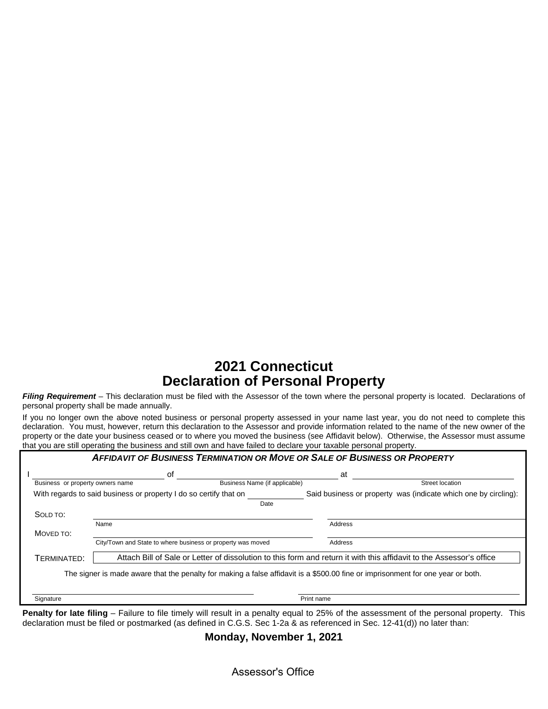# **2021 Connecticut Declaration of Personal Property**

*Filing Requirement* – This declaration must be filed with the Assessor of the town where the personal property is located. Declarations of personal property shall be made annually.

If you no longer own the above noted business or personal property assessed in your name last year, you do not need to complete this declaration. You must, however, return this declaration to the Assessor and provide information related to the name of the new owner of the property or the date your business ceased or to where you moved the business (see Affidavit below). Otherwise, the Assessor must assume that you are still operating the business and still own and have failed to declare your taxable personal property.

|                                  | οf                                                                |                                                                                                                                 | at         |                                                                 |
|----------------------------------|-------------------------------------------------------------------|---------------------------------------------------------------------------------------------------------------------------------|------------|-----------------------------------------------------------------|
| Business or property owners name |                                                                   | Business Name (if applicable)                                                                                                   |            | Street location                                                 |
|                                  | With regards to said business or property I do so certify that on |                                                                                                                                 |            | Said business or property was (indicate which one by circling): |
|                                  |                                                                   | Date                                                                                                                            |            |                                                                 |
| SOLD TO:                         |                                                                   |                                                                                                                                 |            |                                                                 |
|                                  | Name                                                              |                                                                                                                                 | Address    |                                                                 |
| MOVED TO:                        |                                                                   |                                                                                                                                 |            |                                                                 |
|                                  |                                                                   | City/Town and State to where business or property was moved                                                                     | Address    |                                                                 |
| TERMINATED:                      |                                                                   | Attach Bill of Sale or Letter of dissolution to this form and return it with this affidavit to the Assessor's office            |            |                                                                 |
|                                  |                                                                   | The signer is made aware that the penalty for making a false affidavit is a \$500.00 fine or imprisonment for one year or both. |            |                                                                 |
|                                  |                                                                   |                                                                                                                                 |            |                                                                 |
|                                  |                                                                   |                                                                                                                                 |            |                                                                 |
| Signature                        |                                                                   |                                                                                                                                 | Print name |                                                                 |

**Penalty for late filing** – Failure to file timely will result in a penalty equal to 25% of the assessment of the personal property. This declaration must be filed or postmarked (as defined in C.G.S. Sec 1-2a & as referenced in Sec. 12-41(d)) no later than:

**Monday, November 1, 2021**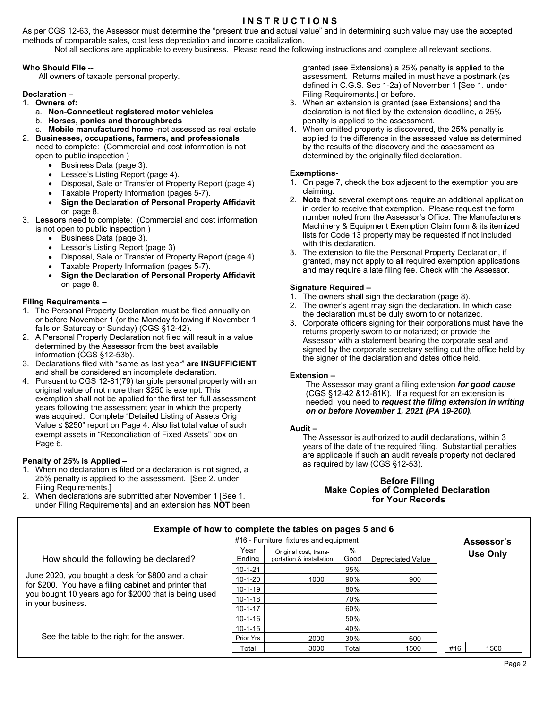### **I N S T R U C T I O N S**

As per CGS 12-63, the Assessor must determine the "present true and actual value" and in determining such value may use the accepted methods of comparable sales, cost less depreciation and income capitalization.

Not all sections are applicable to every business. Please read the following instructions and complete all relevant sections.

#### **Who Should File --**

All owners of taxable personal property.

### **Declaration –**

1. **Owners of:**

- a. **Non-Connecticut registered motor vehicles**
- b. **Horses, ponies and thoroughbreds**
- c. **Mobile manufactured home** -not assessed as real estate
- 2. **Businesses, occupations, farmers, and professionals**
	- need to complete: (Commercial and cost information is not open to public inspection )
		- Business Data (page 3).
		- Lessee's Listing Report (page 4).
		- Disposal, Sale or Transfer of Property Report (page 4)
		- Taxable Property Information (pages 5-7).
		- **Sign the Declaration of Personal Property Affidavit** on page 8.
- 3. **Lessors** need to complete: (Commercial and cost information is not open to public inspection )
	- Business Data (page 3).
	- Lessor's Listing Report (page 3)
	- Disposal, Sale or Transfer of Property Report (page 4)
	- Taxable Property Information (pages 5-7).
	- **Sign the Declaration of Personal Property Affidavit** on page 8.

### **Filing Requirements –**

- 1. The Personal Property Declaration must be filed annually on or before November 1 (or the Monday following if November 1 falls on Saturday or Sunday) (CGS §12-42).
- 2. A Personal Property Declaration not filed will result in a value determined by the Assessor from the best available information (CGS §12-53b).
- 3. Declarations filed with "same as last year" **are INSUFFICIENT** and shall be considered an incomplete declaration.
- 4. Pursuant to CGS 12-81(79) tangible personal property with an original value of not more than \$250 is exempt. This exemption shall not be applied for the first ten full assessment years following the assessment year in which the property was acquired. Complete "Detailed Listing of Assets Orig Value ≤ \$250" report on Page 4. Also list total value of such exempt assets in "Reconciliation of Fixed Assets" box on Page 6.

#### **Penalty of 25% is Applied –**

- 1. When no declaration is filed or a declaration is not signed, a 25% penalty is applied to the assessment. [See 2. under Filing Requirements.]
- 2. When declarations are submitted after November 1 [See 1. under Filing Requirements] and an extension has **NOT** been

granted (see Extensions) a 25% penalty is applied to the assessment. Returns mailed in must have a postmark (as defined in C.G.S. Sec 1-2a) of November 1 [See 1. under Filing Requirements.] or before.

- 3. When an extension is granted (see Extensions) and the declaration is not filed by the extension deadline, a 25% penalty is applied to the assessment.
- 4. When omitted property is discovered, the 25% penalty is applied to the difference in the assessed value as determined by the results of the discovery and the assessment as determined by the originally filed declaration.

#### **Exemptions-**

- 1. On page 7, check the box adjacent to the exemption you are claiming.
- 2. **Note** that several exemptions require an additional application in order to receive that exemption. Please request the form number noted from the Assessor's Office. The Manufacturers Machinery & Equipment Exemption Claim form & its itemized lists for Code 13 property may be requested if not included with this declaration.
- 3. The extension to file the Personal Property Declaration, if granted, may not apply to all required exemption applications and may require a late filing fee. Check with the Assessor.

#### **Signature Required –**

- 1. The owners shall sign the declaration (page 8).
- 2. The owner's agent may sign the declaration. In which case the declaration must be duly sworn to or notarized.
- 3. Corporate officers signing for their corporations must have the returns properly sworn to or notarized; or provide the Assessor with a statement bearing the corporate seal and signed by the corporate secretary setting out the office held by the signer of the declaration and dates office held.

#### **Extension –**

The Assessor may grant a filing extension *for good cause* (CGS §12-42 &12-81K). If a request for an extension is needed, you need to *request the filing extension in writing on or before November 1, 2021 (PA 19-200)***.**

#### **Audit –**

The Assessor is authorized to audit declarations, within 3 years of the date of the required filing. Substantial penalties are applicable if such an audit reveals property not declared as required by law (CGS §12-53).

### **Before Filing Make Copies of Completed Declaration for Your Records**

| Example of now to complete the tables on pages 5 and 6                     |                |                                                   |           |                          |                 |
|----------------------------------------------------------------------------|----------------|---------------------------------------------------|-----------|--------------------------|-----------------|
|                                                                            | Assessor's     |                                                   |           |                          |                 |
| How should the following be declared?                                      | Year<br>Endina | Original cost, trans-<br>portation & installation | %<br>Good | <b>Depreciated Value</b> | <b>Use Only</b> |
| June 2020, you bought a desk for \$800 and a chair                         | 10-1-21        |                                                   | 95%       |                          |                 |
|                                                                            | $10 - 1 - 20$  | 1000                                              | 90%       | 900                      |                 |
| for \$200. You have a filing cabinet and printer that                      | $10 - 1 - 19$  |                                                   | 80%       |                          |                 |
| you bought 10 years ago for \$2000 that is being used<br>in your business. | $10 - 1 - 18$  |                                                   | 70%       |                          |                 |
|                                                                            | $10 - 1 - 17$  |                                                   | 60%       |                          |                 |
|                                                                            | $10 - 1 - 16$  |                                                   | 50%       |                          |                 |
|                                                                            | $10 - 1 - 15$  |                                                   | 40%       |                          |                 |
| See the table to the right for the answer.                                 | Prior Yrs      | 2000                                              | 30%       | 600                      |                 |
|                                                                            | Total          | 3000                                              | Total     | 1500                     | #16<br>1500     |

**Example of how to complete the tables on pages 5 and 6**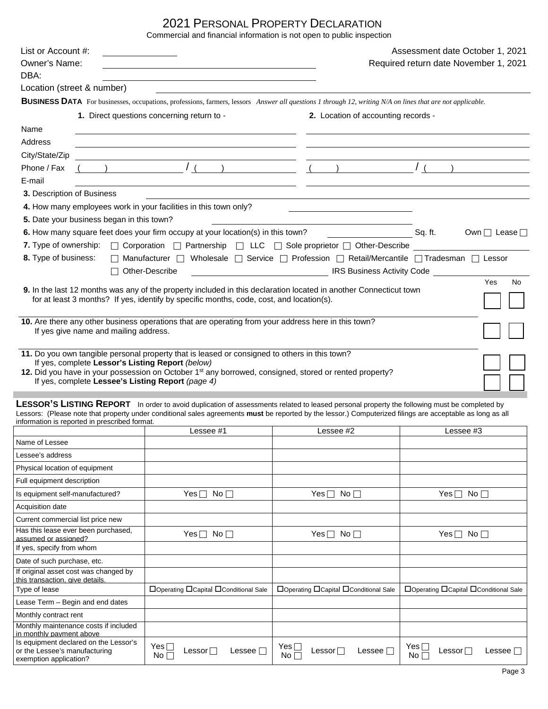# 2021 PERSONAL PROPERTY DECLARATION

Commercial and financial information is not open to public inspection

| List or Account #:<br>Owner's Name:                                                                   |                                                                                                                                                                                                                                                                                                           |                                                                                                                       | Assessment date October 1, 2021<br>Required return date November 1, 2021                                                                                                                                 |  |  |  |  |  |
|-------------------------------------------------------------------------------------------------------|-----------------------------------------------------------------------------------------------------------------------------------------------------------------------------------------------------------------------------------------------------------------------------------------------------------|-----------------------------------------------------------------------------------------------------------------------|----------------------------------------------------------------------------------------------------------------------------------------------------------------------------------------------------------|--|--|--|--|--|
| DBA:                                                                                                  |                                                                                                                                                                                                                                                                                                           |                                                                                                                       |                                                                                                                                                                                                          |  |  |  |  |  |
| Location (street & number)                                                                            |                                                                                                                                                                                                                                                                                                           |                                                                                                                       |                                                                                                                                                                                                          |  |  |  |  |  |
|                                                                                                       | <b>BUSINESS DATA</b> For businesses, occupations, professions, farmers, lessors Answer all questions 1 through 12, writing N/A on lines that are not applicable.                                                                                                                                          |                                                                                                                       |                                                                                                                                                                                                          |  |  |  |  |  |
|                                                                                                       | 1. Direct questions concerning return to -                                                                                                                                                                                                                                                                | 2. Location of accounting records -                                                                                   |                                                                                                                                                                                                          |  |  |  |  |  |
| Name                                                                                                  |                                                                                                                                                                                                                                                                                                           |                                                                                                                       |                                                                                                                                                                                                          |  |  |  |  |  |
| Address                                                                                               |                                                                                                                                                                                                                                                                                                           |                                                                                                                       |                                                                                                                                                                                                          |  |  |  |  |  |
| City/State/Zip                                                                                        |                                                                                                                                                                                                                                                                                                           |                                                                                                                       |                                                                                                                                                                                                          |  |  |  |  |  |
| Phone / Fax                                                                                           | $\frac{1}{\left(\frac{1}{2}\right)^{2}}$ (1) $\frac{1}{\left(\frac{1}{2}\right)^{2}}$ (1) $\frac{1}{\left(\frac{1}{2}\right)^{2}}$                                                                                                                                                                        |                                                                                                                       |                                                                                                                                                                                                          |  |  |  |  |  |
| E-mail                                                                                                |                                                                                                                                                                                                                                                                                                           |                                                                                                                       |                                                                                                                                                                                                          |  |  |  |  |  |
| 3. Description of Business                                                                            |                                                                                                                                                                                                                                                                                                           |                                                                                                                       |                                                                                                                                                                                                          |  |  |  |  |  |
| 4. How many employees work in your facilities in this town only?                                      |                                                                                                                                                                                                                                                                                                           | <u> Liste de la contrada de la contrada de la contrada de la contrada de la contrada de la contrada de la contrad</u> |                                                                                                                                                                                                          |  |  |  |  |  |
| 5. Date your business began in this town?                                                             |                                                                                                                                                                                                                                                                                                           |                                                                                                                       |                                                                                                                                                                                                          |  |  |  |  |  |
|                                                                                                       |                                                                                                                                                                                                                                                                                                           |                                                                                                                       | 6. How many square feet does your firm occupy at your location(s) in this town?<br><u> Case</u> Dan Many Sq. ft. Own Dease Dease Dease Dease Dease Dease Dease Dease Dease Dease Dease Dease Dease Dease |  |  |  |  |  |
|                                                                                                       | 7. Type of ownership: □ Corporation □ Partnership □ LLC □ Sole proprietor □ Other-Describe                                                                                                                                                                                                                |                                                                                                                       |                                                                                                                                                                                                          |  |  |  |  |  |
| 8. Type of business:                                                                                  | □ Manufacturer □ Wholesale □ Service □ Profession □ Retail/Mercantile □ Tradesman □ Lessor                                                                                                                                                                                                                |                                                                                                                       |                                                                                                                                                                                                          |  |  |  |  |  |
|                                                                                                       | $\Box$ Other-Describe                                                                                                                                                                                                                                                                                     | <b>IRS Business Activity Code</b>                                                                                     |                                                                                                                                                                                                          |  |  |  |  |  |
|                                                                                                       | 9. In the last 12 months was any of the property included in this declaration located in another Connecticut town<br>for at least 3 months? If yes, identify by specific months, code, cost, and location(s).                                                                                             |                                                                                                                       | Yes<br>No                                                                                                                                                                                                |  |  |  |  |  |
| If yes give name and mailing address.                                                                 | 10. Are there any other business operations that are operating from your address here in this town?                                                                                                                                                                                                       |                                                                                                                       |                                                                                                                                                                                                          |  |  |  |  |  |
| If yes, complete Lessor's Listing Report (below)<br>If yes, complete Lessee's Listing Report (page 4) | 11. Do you own tangible personal property that is leased or consigned to others in this town?<br>12. Did you have in your possession on October 1 <sup>st</sup> any borrowed, consigned, stored or rented property?                                                                                       |                                                                                                                       |                                                                                                                                                                                                          |  |  |  |  |  |
| information is reported in prescribed format.                                                         | LESSOR'S LISTING REPORT In order to avoid duplication of assessments related to leased personal property the following must be completed by<br>Lessors: (Please note that property under conditional sales agreements must be reported by the lessor.) Computerized filings are acceptable as long as all |                                                                                                                       |                                                                                                                                                                                                          |  |  |  |  |  |
|                                                                                                       | Lessee #1                                                                                                                                                                                                                                                                                                 | Lessee #2                                                                                                             | Lessee #3                                                                                                                                                                                                |  |  |  |  |  |
| Name of Lessee                                                                                        |                                                                                                                                                                                                                                                                                                           |                                                                                                                       |                                                                                                                                                                                                          |  |  |  |  |  |
| Lessee's address                                                                                      |                                                                                                                                                                                                                                                                                                           |                                                                                                                       |                                                                                                                                                                                                          |  |  |  |  |  |
| Physical location of equipment                                                                        |                                                                                                                                                                                                                                                                                                           |                                                                                                                       |                                                                                                                                                                                                          |  |  |  |  |  |
| Full equipment description                                                                            |                                                                                                                                                                                                                                                                                                           |                                                                                                                       |                                                                                                                                                                                                          |  |  |  |  |  |
| Is equipment self-manufactured?                                                                       | Yes $\Box$<br>No <sub>1</sub>                                                                                                                                                                                                                                                                             | Yes $\Box$<br>No <sub>l</sub>                                                                                         | Yes $\Box$<br>No <sub>l</sub>                                                                                                                                                                            |  |  |  |  |  |
| Acquisition date                                                                                      |                                                                                                                                                                                                                                                                                                           |                                                                                                                       |                                                                                                                                                                                                          |  |  |  |  |  |
| Current commercial list price new                                                                     |                                                                                                                                                                                                                                                                                                           |                                                                                                                       |                                                                                                                                                                                                          |  |  |  |  |  |
| Has this lease ever been purchased,<br>assumed or assigned?<br>If yes, specify from whom              | $Yes \Box No \Box$                                                                                                                                                                                                                                                                                        | Yes $\Box$ No $\Box$                                                                                                  | Yes $\Box$ No $\Box$                                                                                                                                                                                     |  |  |  |  |  |
| Date of such purchase, etc.                                                                           |                                                                                                                                                                                                                                                                                                           |                                                                                                                       |                                                                                                                                                                                                          |  |  |  |  |  |
| If original asset cost was changed by<br>this transaction. give details                               |                                                                                                                                                                                                                                                                                                           |                                                                                                                       |                                                                                                                                                                                                          |  |  |  |  |  |
| Type of lease                                                                                         | □Operating □Capital □Conditional Sale                                                                                                                                                                                                                                                                     | □Operating □Capital □Conditional Sale                                                                                 | □Operating □Capital □Conditional Sale                                                                                                                                                                    |  |  |  |  |  |
| Lease Term - Begin and end dates                                                                      |                                                                                                                                                                                                                                                                                                           |                                                                                                                       |                                                                                                                                                                                                          |  |  |  |  |  |
| Monthly contract rent                                                                                 |                                                                                                                                                                                                                                                                                                           |                                                                                                                       |                                                                                                                                                                                                          |  |  |  |  |  |
| Monthly maintenance costs if included<br>in monthly payment above                                     |                                                                                                                                                                                                                                                                                                           |                                                                                                                       |                                                                                                                                                                                                          |  |  |  |  |  |
| Is equipment declared on the Lessor's<br>or the Lessee's manufacturing<br>exemption application?      | Yes $\Box$<br>Lessor $\square$<br>Lessee $\Box$<br>$No \Box$                                                                                                                                                                                                                                              | Yes $\Box$<br>Lessor $\square$<br>Lessee $\Box$<br>$No \Box$                                                          | $Yes \sqcap$<br>Lessor $\Box$<br>Lessee $\Box$<br>No $\sqcap$                                                                                                                                            |  |  |  |  |  |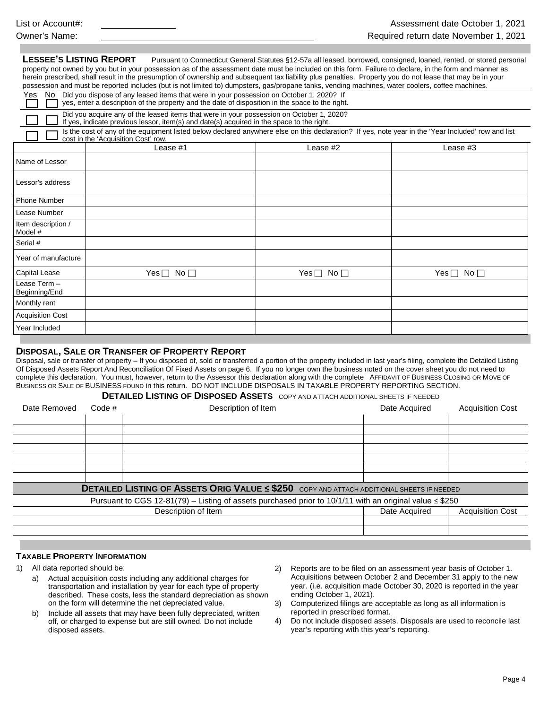| LESSEE'S LISTING REPORT       | property not owned by you but in your possession as of the assessment date must be included on this form. Failure to declare, in the form and manner as<br>herein prescribed, shall result in the presumption of ownership and subsequent tax liability plus penalties. Property you do not lease that may be in your<br>possession and must be reported includes (but is not limited to) dumpsters, gas/propane tanks, vending machines, water coolers, coffee machines. | Pursuant to Connecticut General Statutes §12-57a all leased, borrowed, consigned, loaned, rented, or stored personal |                 |
|-------------------------------|---------------------------------------------------------------------------------------------------------------------------------------------------------------------------------------------------------------------------------------------------------------------------------------------------------------------------------------------------------------------------------------------------------------------------------------------------------------------------|----------------------------------------------------------------------------------------------------------------------|-----------------|
| Yes<br>No.                    | Did you dispose of any leased items that were in your possession on October 1, 2020? If<br>yes, enter a description of the property and the date of disposition in the space to the right.                                                                                                                                                                                                                                                                                |                                                                                                                      |                 |
|                               | Did you acquire any of the leased items that were in your possession on October 1, 2020?<br>If yes, indicate previous lessor, item(s) and date(s) acquired in the space to the right.                                                                                                                                                                                                                                                                                     |                                                                                                                      |                 |
|                               | Is the cost of any of the equipment listed below declared anywhere else on this declaration? If yes, note year in the 'Year Included' row and list<br>cost in the 'Acquisition Cost' row.                                                                                                                                                                                                                                                                                 |                                                                                                                      |                 |
|                               | Lease #1                                                                                                                                                                                                                                                                                                                                                                                                                                                                  | Lease #2                                                                                                             | Lease #3        |
| Name of Lessor                |                                                                                                                                                                                                                                                                                                                                                                                                                                                                           |                                                                                                                      |                 |
| Lessor's address              |                                                                                                                                                                                                                                                                                                                                                                                                                                                                           |                                                                                                                      |                 |
| <b>Phone Number</b>           |                                                                                                                                                                                                                                                                                                                                                                                                                                                                           |                                                                                                                      |                 |
| Lease Number                  |                                                                                                                                                                                                                                                                                                                                                                                                                                                                           |                                                                                                                      |                 |
| Item description /<br>Model # |                                                                                                                                                                                                                                                                                                                                                                                                                                                                           |                                                                                                                      |                 |
| Serial #                      |                                                                                                                                                                                                                                                                                                                                                                                                                                                                           |                                                                                                                      |                 |
| Year of manufacture           |                                                                                                                                                                                                                                                                                                                                                                                                                                                                           |                                                                                                                      |                 |
| Capital Lease                 | $N \cap \Box$<br>ا ⊃هY                                                                                                                                                                                                                                                                                                                                                                                                                                                    | ∨≏∝⊡ N∩⊟                                                                                                             | ـ ⊟ ء⊿Y<br>No ⊡ |

| Year of manufacture           |                         |                      |                         |
|-------------------------------|-------------------------|----------------------|-------------------------|
| Capital Lease                 | No $\Box$<br>Yes $\Box$ | Yes $\Box$ No $\Box$ | No $\Box$<br>Yes $\Box$ |
| Lease Term -<br>Beginning/End |                         |                      |                         |
| Monthly rent                  |                         |                      |                         |
| <b>Acquisition Cost</b>       |                         |                      |                         |
| Year Included                 |                         |                      |                         |

## **DISPOSAL, SALE OR TRANSFER OF PROPERTY REPORT**

Disposal, sale or transfer of property – If you disposed of, sold or transferred a portion of the property included in last year's filing, complete the Detailed Listing Of Disposed Assets Report And Reconciliation Of Fixed Assets on page 6. If you no longer own the business noted on the cover sheet you do not need to complete this declaration. You must, however, return to the Assessor this declaration along with the complete AFFIDAVIT OF BUSINESS CLOSING OR MOVE OF BUSINESS OR SALE OF BUSINESS FOUND in this return. DO NOT INCLUDE DISPOSALS IN TAXABLE PROPERTY REPORTING SECTION.

| <b>DETAILED LISTING OF DISPOSED ASSETS</b> COPY AND ATTACH ADDITIONAL SHEETS IF NEEDED |
|----------------------------------------------------------------------------------------|
|                                                                                        |

| Date Removed | Code $#$ | Description of Item                                                                                          | Date Acquired | <b>Acquisition Cost</b> |
|--------------|----------|--------------------------------------------------------------------------------------------------------------|---------------|-------------------------|
|              |          |                                                                                                              |               |                         |
|              |          |                                                                                                              |               |                         |
|              |          |                                                                                                              |               |                         |
|              |          |                                                                                                              |               |                         |
|              |          |                                                                                                              |               |                         |
|              |          |                                                                                                              |               |                         |
|              |          |                                                                                                              |               |                         |
|              |          | <b>DETAILED LISTING OF ASSETS ORIG VALUE &lt; \$250 COPY AND ATTACH ADDITIONAL SHEETS IF NEEDED</b>          |               |                         |
|              |          | Pursuant to CGS 12-81(79) – Listing of assets purchased prior to 10/1/11 with an original value $\leq$ \$250 |               |                         |
|              |          | Description of Item                                                                                          | Date Acquired | <b>Acquisition Cost</b> |
|              |          |                                                                                                              |               |                         |
|              |          |                                                                                                              |               |                         |

## **TAXABLE PROPERTY INFORMATION**

- 1) All data reported should be:
	- a) Actual acquisition costs including any additional charges for transportation and installation by year for each type of property described. These costs, less the standard depreciation as shown on the form will determine the net depreciated value.
	- b) Include all assets that may have been fully depreciated, written off, or charged to expense but are still owned. Do not include disposed assets.
- 2) Reports are to be filed on an assessment year basis of October 1. Acquisitions between October 2 and December 31 apply to the new year. (i.e. acquisition made October 30, 2020 is reported in the year ending October 1, 2021).
- 3) Computerized filings are acceptable as long as all information is reported in prescribed format.
- 4) Do not include disposed assets. Disposals are used to reconcile last year's reporting with this year's reporting.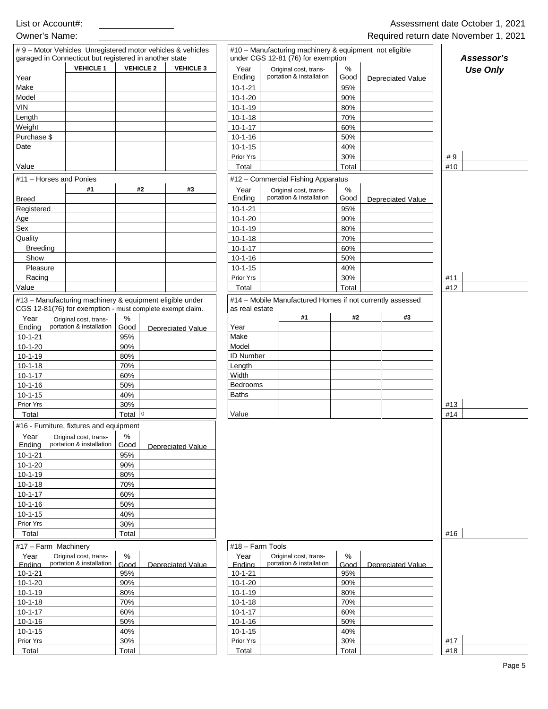|                                                                                                                                                                                                                                                                                           | #9 - Motor Vehicles Unregistered motor vehicles & vehicles       |                                                |                          |                                                      |                                    |       | #10 - Manufacturing machinery & equipment not eligible |                 |
|-------------------------------------------------------------------------------------------------------------------------------------------------------------------------------------------------------------------------------------------------------------------------------------------|------------------------------------------------------------------|------------------------------------------------|--------------------------|------------------------------------------------------|------------------------------------|-------|--------------------------------------------------------|-----------------|
|                                                                                                                                                                                                                                                                                           | garaged in Connecticut but registered in another state           |                                                |                          |                                                      | under CGS 12-81 (76) for exemption |       |                                                        | Assessor's      |
|                                                                                                                                                                                                                                                                                           | <b>VEHICLE 1</b>                                                 | <b>VEHICLE 2</b>                               | <b>VEHICLE 3</b>         | Year                                                 | Original cost, trans-              | %     |                                                        | <b>Use Only</b> |
| Year                                                                                                                                                                                                                                                                                      |                                                                  |                                                |                          | Ending                                               | portation & installation           | Good  | <b>Depreciated Value</b>                               |                 |
| Make                                                                                                                                                                                                                                                                                      |                                                                  |                                                |                          | $10 - 1 - 21$                                        |                                    | 95%   |                                                        |                 |
| Model                                                                                                                                                                                                                                                                                     |                                                                  |                                                |                          | $10 - 1 - 20$                                        |                                    | 90%   |                                                        |                 |
| <b>VIN</b>                                                                                                                                                                                                                                                                                |                                                                  |                                                |                          | $10-1-19$                                            |                                    | 80%   |                                                        |                 |
| Length                                                                                                                                                                                                                                                                                    |                                                                  |                                                |                          | $10-1-18$                                            |                                    | 70%   |                                                        |                 |
| Weight                                                                                                                                                                                                                                                                                    |                                                                  |                                                |                          | $10 - 1 - 17$                                        |                                    | 60%   |                                                        |                 |
| Purchase \$                                                                                                                                                                                                                                                                               |                                                                  |                                                |                          | $10-1-16$                                            |                                    | 50%   |                                                        |                 |
| Date                                                                                                                                                                                                                                                                                      |                                                                  |                                                |                          | $10 - 1 - 15$                                        |                                    | 40%   |                                                        |                 |
|                                                                                                                                                                                                                                                                                           |                                                                  |                                                |                          | Prior Yrs                                            |                                    | 30%   |                                                        | #9              |
| Value                                                                                                                                                                                                                                                                                     |                                                                  |                                                |                          | Total                                                |                                    | Total |                                                        | #10             |
| #11 - Horses and Ponies                                                                                                                                                                                                                                                                   |                                                                  |                                                |                          |                                                      | #12 - Commercial Fishing Apparatus |       |                                                        |                 |
|                                                                                                                                                                                                                                                                                           | #1                                                               | #2                                             | #3                       | Year                                                 | Original cost, trans-              | $\%$  |                                                        |                 |
| <b>Breed</b>                                                                                                                                                                                                                                                                              |                                                                  |                                                |                          | Ending                                               | portation & installation           | Good  | <b>Depreciated Value</b>                               |                 |
| Registered                                                                                                                                                                                                                                                                                |                                                                  |                                                |                          | $10 - 1 - 21$                                        |                                    | 95%   |                                                        |                 |
| Age                                                                                                                                                                                                                                                                                       |                                                                  |                                                |                          | $10-1-20$                                            |                                    | 90%   |                                                        |                 |
| Sex                                                                                                                                                                                                                                                                                       |                                                                  |                                                |                          | $10-1-19$                                            |                                    | 80%   |                                                        |                 |
| Quality                                                                                                                                                                                                                                                                                   |                                                                  |                                                |                          | $10 - 1 - 18$                                        |                                    | 70%   |                                                        |                 |
| <b>Breeding</b>                                                                                                                                                                                                                                                                           |                                                                  |                                                |                          | $10 - 1 - 17$                                        |                                    | 60%   |                                                        |                 |
| Show                                                                                                                                                                                                                                                                                      |                                                                  |                                                |                          | $10 - 1 - 16$                                        |                                    | 50%   |                                                        |                 |
| Pleasure                                                                                                                                                                                                                                                                                  |                                                                  |                                                |                          | $10 - 1 - 15$                                        |                                    | 40%   |                                                        |                 |
| Racing                                                                                                                                                                                                                                                                                    |                                                                  |                                                |                          | Prior Yrs                                            |                                    | 30%   |                                                        | #11             |
| Value                                                                                                                                                                                                                                                                                     |                                                                  |                                                |                          | Total                                                |                                    | Total |                                                        | #12             |
| $10 - 1 - 18$<br>$10 - 1 - 17$<br>$10 - 1 - 16$<br>$10 - 1 - 15$<br>Prior Yrs<br>Total                                                                                                                                                                                                    |                                                                  | 70%<br>60%<br>50%<br>40%<br>30%<br>Total $ 0 $ |                          | Length<br>Width<br>Bedrooms<br><b>Baths</b><br>Value |                                    |       |                                                        | #13<br>#14      |
|                                                                                                                                                                                                                                                                                           |                                                                  |                                                |                          |                                                      |                                    |       |                                                        |                 |
| Year                                                                                                                                                                                                                                                                                      | #16 - Furniture, fixtures and equipment<br>Original cost, trans- | %                                              |                          |                                                      |                                    |       |                                                        |                 |
|                                                                                                                                                                                                                                                                                           | portation & installation                                         | Good                                           |                          |                                                      |                                    |       |                                                        |                 |
| Ending                                                                                                                                                                                                                                                                                    |                                                                  |                                                | Depreciated Value        |                                                      |                                    |       |                                                        |                 |
|                                                                                                                                                                                                                                                                                           |                                                                  | 95%                                            |                          |                                                      |                                    |       |                                                        |                 |
|                                                                                                                                                                                                                                                                                           |                                                                  | 90%                                            |                          |                                                      |                                    |       |                                                        |                 |
|                                                                                                                                                                                                                                                                                           |                                                                  | 80%                                            |                          |                                                      |                                    |       |                                                        |                 |
|                                                                                                                                                                                                                                                                                           |                                                                  | 70%                                            |                          |                                                      |                                    |       |                                                        |                 |
|                                                                                                                                                                                                                                                                                           |                                                                  | 60%                                            |                          |                                                      |                                    |       |                                                        |                 |
|                                                                                                                                                                                                                                                                                           |                                                                  | 50%                                            |                          |                                                      |                                    |       |                                                        |                 |
|                                                                                                                                                                                                                                                                                           |                                                                  | 40%                                            |                          |                                                      |                                    |       |                                                        |                 |
|                                                                                                                                                                                                                                                                                           |                                                                  | 30%                                            |                          |                                                      |                                    |       |                                                        |                 |
| Total                                                                                                                                                                                                                                                                                     |                                                                  | Total                                          |                          |                                                      |                                    |       |                                                        | #16             |
|                                                                                                                                                                                                                                                                                           |                                                                  |                                                |                          | #18 - Farm Tools                                     |                                    |       |                                                        |                 |
| Year                                                                                                                                                                                                                                                                                      | Original cost, trans-                                            | %                                              |                          | Year                                                 | Original cost, trans-              | $\%$  |                                                        |                 |
|                                                                                                                                                                                                                                                                                           | portation & installation                                         | Good                                           | <b>Depreciated Value</b> | Endina                                               | portation & installation           | Good  | Depreciated Value                                      |                 |
|                                                                                                                                                                                                                                                                                           |                                                                  | 95%                                            |                          | $10 - 1 - 21$                                        |                                    | 95%   |                                                        |                 |
|                                                                                                                                                                                                                                                                                           |                                                                  | 90%                                            |                          | $10 - 1 - 20$                                        |                                    | 90%   |                                                        |                 |
|                                                                                                                                                                                                                                                                                           |                                                                  | 80%                                            |                          | $10 - 1 - 19$                                        |                                    | 80%   |                                                        |                 |
|                                                                                                                                                                                                                                                                                           |                                                                  | 70%                                            |                          | $10 - 1 - 18$                                        |                                    | 70%   |                                                        |                 |
|                                                                                                                                                                                                                                                                                           |                                                                  | 60%                                            |                          | $10 - 1 - 17$                                        |                                    | 60%   |                                                        |                 |
|                                                                                                                                                                                                                                                                                           |                                                                  | 50%                                            |                          | $10 - 1 - 16$                                        |                                    | 50%   |                                                        |                 |
| $10 - 1 - 21$<br>$10 - 1 - 20$<br>$10 - 1 - 19$<br>$10 - 1 - 18$<br>$10 - 1 - 17$<br>$10 - 1 - 16$<br>$10 - 1 - 15$<br>Prior Yrs<br>#17 - Farm Machinery<br>Endina<br>$10 - 1 - 21$<br>$10 - 1 - 20$<br>$10 - 1 - 19$<br>$10 - 1 - 18$<br>$10 - 1 - 17$<br>$10 - 1 - 16$<br>$10 - 1 - 15$ |                                                                  | 40%                                            |                          | $10-1-15$                                            |                                    | 40%   |                                                        |                 |
| Prior Yrs                                                                                                                                                                                                                                                                                 |                                                                  | 30%                                            |                          | Prior Yrs                                            |                                    | 30%   |                                                        | #17             |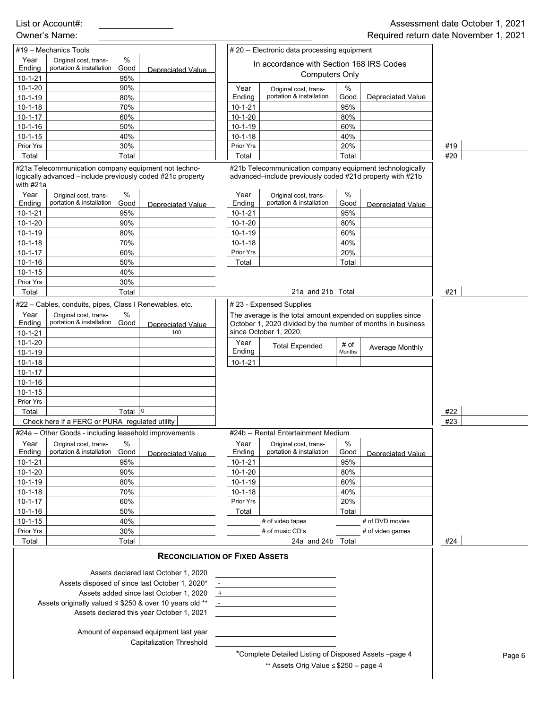|                                 |                                                                                                                    |              |                                                              |                            |                                                                                                                                                     |              |                          | <b>Negalica Telam adle November 1,</b> |        |
|---------------------------------|--------------------------------------------------------------------------------------------------------------------|--------------|--------------------------------------------------------------|----------------------------|-----------------------------------------------------------------------------------------------------------------------------------------------------|--------------|--------------------------|----------------------------------------|--------|
|                                 | #19 - Mechanics Tools                                                                                              |              |                                                              |                            | # 20 -- Electronic data processing equipment                                                                                                        |              |                          |                                        |        |
| Year                            | Original cost, trans-                                                                                              | $\%$         |                                                              |                            | In accordance with Section 168 IRS Codes                                                                                                            |              |                          |                                        |        |
| Ending                          | portation & installation                                                                                           | Good         | <b>Depreciated Value</b>                                     |                            | <b>Computers Only</b>                                                                                                                               |              |                          |                                        |        |
| $10 - 1 - 21$<br>$10 - 1 - 20$  |                                                                                                                    | 95%<br>90%   |                                                              |                            |                                                                                                                                                     |              |                          |                                        |        |
| $10 - 1 - 19$                   |                                                                                                                    | 80%          |                                                              | Year<br>Ending             | Original cost, trans-<br>portation & installation                                                                                                   | %<br>Good    | <b>Depreciated Value</b> |                                        |        |
| $10 - 1 - 18$                   |                                                                                                                    | 70%          |                                                              | $10 - 1 - 21$              |                                                                                                                                                     | 95%          |                          |                                        |        |
| $10 - 1 - 17$                   |                                                                                                                    | 60%          |                                                              | $10 - 1 - 20$              |                                                                                                                                                     | 80%          |                          |                                        |        |
| $10 - 1 - 16$                   |                                                                                                                    | 50%          |                                                              | $10 - 1 - 19$              |                                                                                                                                                     | 60%          |                          |                                        |        |
| $10 - 1 - 15$                   |                                                                                                                    | 40%          |                                                              | $10 - 1 - 18$              |                                                                                                                                                     | 40%          |                          |                                        |        |
| Prior Yrs                       |                                                                                                                    | 30%          |                                                              | Prior Yrs                  |                                                                                                                                                     | 20%          |                          | #19                                    |        |
| Total                           |                                                                                                                    | Total        |                                                              | Total                      |                                                                                                                                                     | Total        |                          | #20                                    |        |
| with #21a                       | #21a Telecommunication company equipment not techno-<br>logically advanced -include previously coded #21c property |              |                                                              |                            | #21b Telecommunication company equipment technologically<br>advanced-include previously coded #21d property with #21b                               |              |                          |                                        |        |
| Year                            | Original cost, trans-                                                                                              | %            |                                                              | Year                       | Original cost, trans-                                                                                                                               | %            |                          |                                        |        |
| Ending                          | portation & installation                                                                                           | Good         | Depreciated Value                                            | Ending                     | portation & installation                                                                                                                            | Good         | Depreciated Value        |                                        |        |
| $10 - 1 - 21$                   |                                                                                                                    | 95%          |                                                              | $10 - 1 - 21$              |                                                                                                                                                     | 95%          |                          |                                        |        |
| $10 - 1 - 20$                   |                                                                                                                    | 90%          |                                                              | $10 - 1 - 20$              |                                                                                                                                                     | 80%          |                          |                                        |        |
| $10 - 1 - 19$                   |                                                                                                                    | 80%          |                                                              | $10 - 1 - 19$              |                                                                                                                                                     | 60%          |                          |                                        |        |
| $10 - 1 - 18$                   |                                                                                                                    | 70%          |                                                              | $10 - 1 - 18$              |                                                                                                                                                     | 40%          |                          |                                        |        |
| $10 - 1 - 17$                   |                                                                                                                    | 60%          |                                                              | Prior Yrs                  |                                                                                                                                                     | 20%          |                          |                                        |        |
| $10 - 1 - 16$<br>$10 - 1 - 15$  |                                                                                                                    | 50%<br>40%   |                                                              | Total                      |                                                                                                                                                     | Total        |                          |                                        |        |
| Prior Yrs                       |                                                                                                                    | 30%          |                                                              |                            |                                                                                                                                                     |              |                          |                                        |        |
| Total                           |                                                                                                                    | Total        |                                                              |                            | 21a and 21b Total                                                                                                                                   |              |                          | #21                                    |        |
|                                 | #22 - Cables, conduits, pipes, Class I Renewables, etc.                                                            |              |                                                              |                            | #23 - Expensed Supplies                                                                                                                             |              |                          |                                        |        |
| Year<br>Ending<br>$10 - 1 - 21$ | Original cost, trans-<br>portation & installation                                                                  | $\%$<br>Good | Depreciated Value<br>100                                     |                            | The average is the total amount expended on supplies since<br>October 1, 2020 divided by the number of months in business<br>since October 1, 2020. |              |                          |                                        |        |
| $10 - 1 - 20$                   |                                                                                                                    |              |                                                              | Year                       | <b>Total Expended</b>                                                                                                                               | # of         |                          |                                        |        |
| $10 - 1 - 19$                   |                                                                                                                    |              |                                                              | Ending                     |                                                                                                                                                     | Months       | Average Monthly          |                                        |        |
| $10 - 1 - 18$                   |                                                                                                                    |              |                                                              | $10 - 1 - 21$              |                                                                                                                                                     |              |                          |                                        |        |
| $10 - 1 - 17$                   |                                                                                                                    |              |                                                              |                            |                                                                                                                                                     |              |                          |                                        |        |
| $10 - 1 - 16$                   |                                                                                                                    |              |                                                              |                            |                                                                                                                                                     |              |                          |                                        |        |
| $10 - 1 - 15$                   |                                                                                                                    |              |                                                              |                            |                                                                                                                                                     |              |                          |                                        |        |
| Prior Yrs                       |                                                                                                                    |              |                                                              |                            |                                                                                                                                                     |              |                          |                                        |        |
| Total                           |                                                                                                                    | Total        | $\mathsf 0$                                                  |                            |                                                                                                                                                     |              |                          | #22                                    |        |
|                                 | Check here if a FERC or PURA regulated utility                                                                     |              |                                                              |                            |                                                                                                                                                     |              |                          | #23                                    |        |
|                                 | #24a - Other Goods - including leasehold improvements                                                              |              |                                                              |                            | #24b -- Rental Entertainment Medium                                                                                                                 |              |                          |                                        |        |
| Year<br>Ending                  | Original cost, trans-<br>portation & installation                                                                  | $\%$<br>Good | Depreciated Value                                            | Year<br>Ending             | Original cost, trans-<br>portation & installation                                                                                                   | $\%$<br>Good | Depreciated Value        |                                        |        |
| $10 - 1 - 21$                   |                                                                                                                    | 95%          |                                                              | $10 - 1 - 21$              |                                                                                                                                                     | 95%          |                          |                                        |        |
| $10 - 1 - 20$                   |                                                                                                                    | 90%          |                                                              | $10 - 1 - 20$              |                                                                                                                                                     | 80%          |                          |                                        |        |
| $10 - 1 - 19$                   |                                                                                                                    | 80%<br>70%   |                                                              | $10 - 1 - 19$              |                                                                                                                                                     | 60%<br>40%   |                          |                                        |        |
| $10 - 1 - 18$<br>$10 - 1 - 17$  |                                                                                                                    | 60%          |                                                              | $10 - 1 - 18$<br>Prior Yrs |                                                                                                                                                     | 20%          |                          |                                        |        |
| $10 - 1 - 16$                   |                                                                                                                    | 50%          |                                                              | Total                      |                                                                                                                                                     | Total        |                          |                                        |        |
| $10 - 1 - 15$                   |                                                                                                                    | 40%          |                                                              |                            | # of video tapes                                                                                                                                    |              | # of DVD movies          |                                        |        |
| Prior Yrs                       |                                                                                                                    | 30%          |                                                              |                            | # of music CD's                                                                                                                                     |              | # of video games         |                                        |        |
| Total                           |                                                                                                                    | Total        |                                                              |                            | 24a and 24b Total                                                                                                                                   |              |                          | #24                                    |        |
|                                 |                                                                                                                    |              | <b>RECONCILIATION OF FIXED ASSETS</b>                        |                            |                                                                                                                                                     |              |                          |                                        |        |
|                                 |                                                                                                                    |              | Assets declared last October 1, 2020                         |                            |                                                                                                                                                     |              |                          |                                        |        |
|                                 |                                                                                                                    |              | Assets disposed of since last October 1, 2020*               |                            |                                                                                                                                                     |              |                          |                                        |        |
|                                 |                                                                                                                    |              | Assets added since last October 1, 2020                      | $+$                        |                                                                                                                                                     |              |                          |                                        |        |
|                                 |                                                                                                                    |              | Assets originally valued $\leq$ \$250 & over 10 years old ** |                            |                                                                                                                                                     |              |                          |                                        |        |
|                                 |                                                                                                                    |              | Assets declared this year October 1, 2021                    |                            |                                                                                                                                                     |              |                          |                                        |        |
|                                 |                                                                                                                    |              | Amount of expensed equipment last year                       |                            |                                                                                                                                                     |              |                          |                                        |        |
|                                 |                                                                                                                    |              | <b>Capitalization Threshold</b>                              |                            |                                                                                                                                                     |              |                          |                                        |        |
|                                 |                                                                                                                    |              |                                                              |                            | *Complete Detailed Listing of Disposed Assets -page 4                                                                                               |              |                          |                                        | Page 6 |
|                                 |                                                                                                                    |              |                                                              |                            | ** Assets Orig Value $\leq$ \$250 - page 4                                                                                                          |              |                          |                                        |        |
|                                 |                                                                                                                    |              |                                                              |                            |                                                                                                                                                     |              |                          |                                        |        |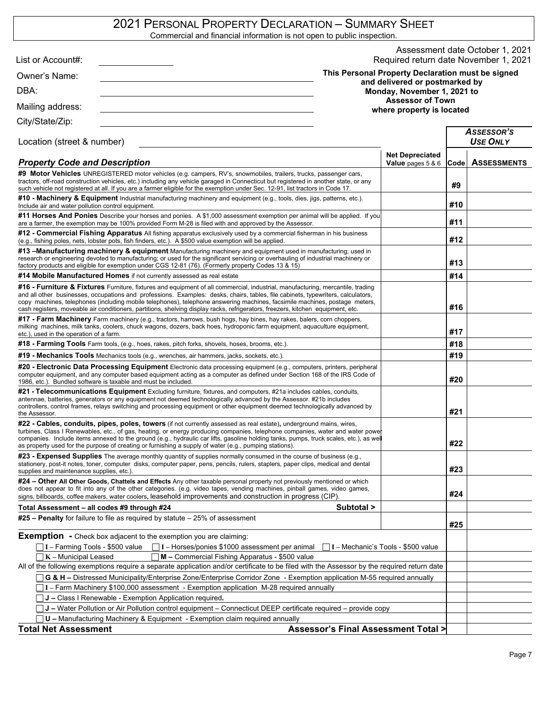# 2021 PERSONAL PROPERTY DECLARATION – SUMMARY SHEET

Commercial and financial information is not open to public inspection.

| List or Account#:                                                                                                                                                                                                                                                                                                                                                                                                                                                                                        |                                |                                                      |      | Assessment date October 1, 2021<br>Required return date November 1, 2021 |
|----------------------------------------------------------------------------------------------------------------------------------------------------------------------------------------------------------------------------------------------------------------------------------------------------------------------------------------------------------------------------------------------------------------------------------------------------------------------------------------------------------|--------------------------------|------------------------------------------------------|------|--------------------------------------------------------------------------|
|                                                                                                                                                                                                                                                                                                                                                                                                                                                                                                          |                                | This Personal Property Declaration must be signed    |      |                                                                          |
| Owner's Name:                                                                                                                                                                                                                                                                                                                                                                                                                                                                                            | and delivered or postmarked by |                                                      |      |                                                                          |
| DBA:                                                                                                                                                                                                                                                                                                                                                                                                                                                                                                     |                                | Monday, November 1, 2021 to                          |      |                                                                          |
| Mailing address:                                                                                                                                                                                                                                                                                                                                                                                                                                                                                         |                                | <b>Assessor of Town</b><br>where property is located |      |                                                                          |
| City/State/Zip:                                                                                                                                                                                                                                                                                                                                                                                                                                                                                          |                                |                                                      |      |                                                                          |
| Location (street & number)                                                                                                                                                                                                                                                                                                                                                                                                                                                                               |                                |                                                      |      | Assessor's<br><b>USE ONLY</b>                                            |
| <b>Property Code and Description</b>                                                                                                                                                                                                                                                                                                                                                                                                                                                                     |                                | <b>Net Depreciated</b><br><b>Value</b> pages $5 & 6$ | Code | <b>ASSESSMENTS</b>                                                       |
| #9 Motor Vehicles UNREGISTERED motor vehicles (e.g. campers, RV's, snowmobiles, trailers, trucks, passenger cars,<br>tractors, off-road construction vehicles, etc.) including any vehicle garaged in Connecticut but registered in another state, or any<br>such vehicle not registered at all. If you are a farmer eligible for the exemption under Sec. 12-91, list tractors in Code 17.                                                                                                              |                                |                                                      | #9   |                                                                          |
| <b>#10 - Machinery &amp; Equipment</b> Industrial manufacturing machinery and equipment (e.g., tools, dies, jigs, patterns, etc.).<br>Include air and water pollution control equipment.                                                                                                                                                                                                                                                                                                                 |                                |                                                      | #10  |                                                                          |
| #11 Horses And Ponies Describe your horses and ponies. A \$1,000 assessment exemption per animal will be applied. If you<br>are a farmer, the exemption may be 100% provided Form M-28 is filed with and approved by the Assessor.                                                                                                                                                                                                                                                                       |                                |                                                      | #11  |                                                                          |
| #12 - Commercial Fishing Apparatus All fishing apparatus exclusively used by a commercial fisherman in his business<br>(e.g., fishing poles, nets, lobster pots, fish finders, etc.). A \$500 value exemption will be applied.                                                                                                                                                                                                                                                                           |                                |                                                      | #12  |                                                                          |
| #13 –Manufacturing machinery & equipment Manufacturing machinery and equipment used in manufacturing; used in<br>research or engineering devoted to manufacturing; or used for the significant servicing or overhauling of industrial machinery or<br>factory products and eligible for exemption under CGS 12-81 (76). (Formerly property Codes 13 & 15)                                                                                                                                                | #13                            |                                                      |      |                                                                          |
| #14 Mobile Manufactured Homes if not currently assessed as real estate                                                                                                                                                                                                                                                                                                                                                                                                                                   |                                |                                                      | #14  |                                                                          |
| #16 - Furniture & Fixtures Furniture, fixtures and equipment of all commercial, industrial, manufacturing, mercantile, trading<br>and all other businesses, occupations and professions. Examples: desks, chairs, tables, file cabinets, typewriters, calculators,<br>copy machines, telephones (including mobile telephones), telephone answering machines, facsimile machines, postage meters,                                                                                                         |                                |                                                      |      |                                                                          |
| cash registers, moveable air conditioners, partitions, shelving display racks, refrigerators, freezers, kitchen equipment, etc.                                                                                                                                                                                                                                                                                                                                                                          |                                |                                                      | #16  |                                                                          |
| #17 - Farm Machinery Farm machinery (e.g., tractors, harrows, bush hogs, hay bines, hay rakes, balers, corn choppers,<br>milking machines, milk tanks, coolers, chuck wagons, dozers, back hoes, hydroponic farm equipment, aquaculture equipment,<br>etc.), used in the operation of a farm.                                                                                                                                                                                                            |                                |                                                      | #17  |                                                                          |
| #18 - Farming Tools Farm tools, (e.g., hoes, rakes, pitch forks, shovels, hoses, brooms, etc.).                                                                                                                                                                                                                                                                                                                                                                                                          |                                |                                                      | #18  |                                                                          |
| <b>#19 - Mechanics Tools</b> Mechanics tools (e.g., wrenches, air hammers, jacks, sockets, etc.).                                                                                                                                                                                                                                                                                                                                                                                                        |                                |                                                      | #19  |                                                                          |
| #20 - Electronic Data Processing Equipment Electronic data processing equipment (e.g., computers, printers, peripheral<br>computer equipment, and any computer based equipment acting as a computer as defined under Section 168 of the IRS Code of<br>1986, etc.). Bundled software is taxable and must be included.                                                                                                                                                                                    |                                |                                                      | #20  |                                                                          |
| #21 - Telecommunications Equipment Excluding furniture, fixtures, and computers, #21a includes cables, conduits,<br>antennae, batteries, generators or any equipment not deemed technologically advanced by the Assessor. #21b includes<br>controllers, control frames, relays switching and processing equipment or other equipment deemed technologically advanced by<br>the Assessor.                                                                                                                 |                                |                                                      | #21  |                                                                          |
| #22 - Cables, conduits, pipes, poles, towers (if not currently assessed as real estate), underground mains, wires,<br>turbines, Class I Renewables, etc., of gas, heating, or energy producing companies, telephone companies, water and water power<br>companies. Include items annexed to the ground (e.g., hydraulic car lifts, gasoline holding tanks, pumps, truck scales, etc.), as well<br>as property used for the purpose of creating or furnishing a supply of water (e.g., pumping stations). |                                |                                                      | #22  |                                                                          |
| #23 - Expensed Supplies The average monthly quantity of supplies normally consumed in the course of business (e.g.,<br>stationery, post-it notes, toner, computer disks, computer paper, pens, pencils, rulers, staplers, paper clips, medical and dental<br>supplies and maintenance supplies, etc.).                                                                                                                                                                                                   |                                |                                                      | #23  |                                                                          |
| #24 – Other All Other Goods, Chattels and Effects Any other taxable personal property not previously mentioned or which<br>does not appear to fit into any of the other categories. (e.g. video tapes, vending machines, pinball games, video games,<br>signs, billboards, coffee makers, water coolers, leasehold improvements and construction in progress (CIP)                                                                                                                                       |                                |                                                      | #24  |                                                                          |
| Total Assessment – all codes #9 through #24                                                                                                                                                                                                                                                                                                                                                                                                                                                              | Subtotal >                     |                                                      |      |                                                                          |
| $#25$ – Penalty for failure to file as required by statute – 25% of assessment                                                                                                                                                                                                                                                                                                                                                                                                                           |                                |                                                      | #25  |                                                                          |
| <b>Exemption</b> - Check box adjacent to the exemption you are claiming:                                                                                                                                                                                                                                                                                                                                                                                                                                 |                                |                                                      |      |                                                                          |
| $\Box$ I – Farming Tools - \$500 value<br>$\Box$ I – Horses/ponies \$1000 assessment per animal $\Box$ I – Mechanic's Tools - \$500 value                                                                                                                                                                                                                                                                                                                                                                |                                |                                                      |      |                                                                          |
| $K$ – Municipal Leased<br>M - Commercial Fishing Apparatus - \$500 value                                                                                                                                                                                                                                                                                                                                                                                                                                 |                                |                                                      |      |                                                                          |
| All of the following exemptions require a separate application and/or certificate to be filed with the Assessor by the required return date<br>G & H - Distressed Municipality/Enterprise Zone/Enterprise Corridor Zone - Exemption application M-55 required annually                                                                                                                                                                                                                                   |                                |                                                      |      |                                                                          |
| I - Farm Machinery \$100,000 assessment - Exemption application M-28 required annually                                                                                                                                                                                                                                                                                                                                                                                                                   |                                |                                                      |      |                                                                          |
| J - Class I Renewable - Exemption Application required.                                                                                                                                                                                                                                                                                                                                                                                                                                                  |                                |                                                      |      |                                                                          |
| J - Water Pollution or Air Pollution control equipment - Connecticut DEEP certificate required - provide copy                                                                                                                                                                                                                                                                                                                                                                                            |                                |                                                      |      |                                                                          |
| <b>U</b> - Manufacturing Machinery & Equipment - Exemption claim required annually                                                                                                                                                                                                                                                                                                                                                                                                                       |                                |                                                      |      |                                                                          |
| <b>Total Net Assessment</b>                                                                                                                                                                                                                                                                                                                                                                                                                                                                              |                                | <b>Assessor's Final Assessment Total &gt;</b>        |      |                                                                          |